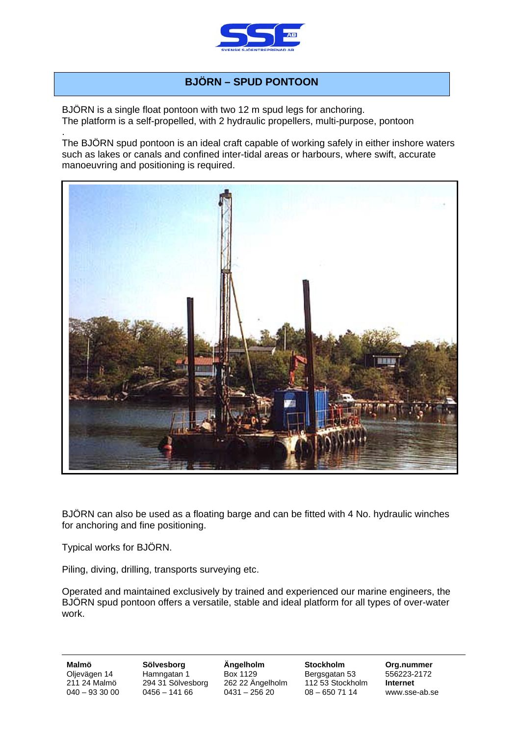

## **BJÖRN – SPUD PONTOON**

BJÖRN is a single float pontoon with two 12 m spud legs for anchoring. The platform is a self-propelled, with 2 hydraulic propellers, multi-purpose, pontoon

. The BJÖRN spud pontoon is an ideal craft capable of working safely in either inshore waters such as lakes or canals and confined inter-tidal areas or harbours, where swift, accurate manoeuvring and positioning is required.



BJÖRN can also be used as a floating barge and can be fitted with 4 No. hydraulic winches for anchoring and fine positioning.

Typical works for BJÖRN.

Piling, diving, drilling, transports surveying etc.

Operated and maintained exclusively by trained and experienced our marine engineers, the BJÖRN spud pontoon offers a versatile, stable and ideal platform for all types of over-water work.

**Malmö Sölvesborg Ängelholm Stockholm Org.nummer**  Oljevägen 14 Hamngatan 1 Box 1129 Bergsgatan 53 556223-2172<br>211 24 Malmö 294 31 Sölvesborg 262 22 Ängelholm 112 53 Stockholm **Internet** 262 22 Ängelholm  $040 - 933000$   $0456 - 14166$   $0431 - 25620$   $08 - 6507114$  www.sse-ab.se